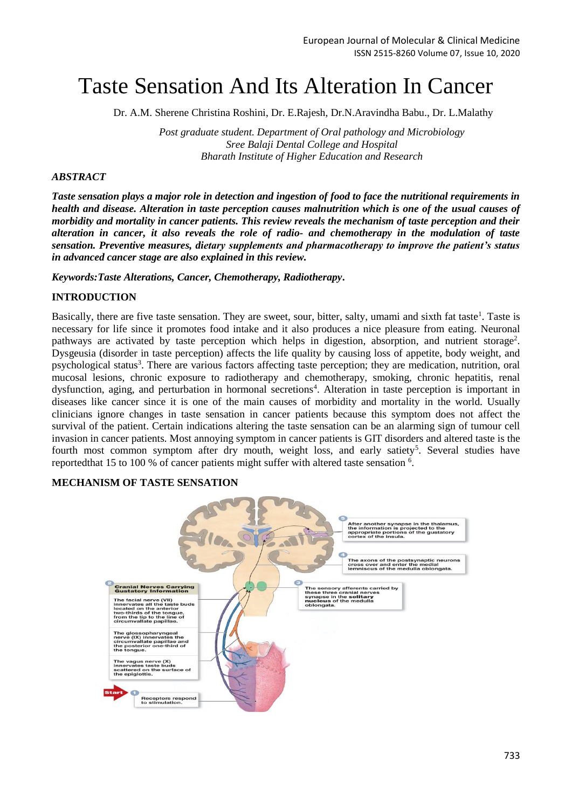# Taste Sensation And Its Alteration In Cancer

Dr. A.M. Sherene Christina Roshini, Dr. E.Rajesh, Dr.N.Aravindha Babu., Dr. L.Malathy

*Post graduate student. Department of Oral pathology and Microbiology Sree Balaji Dental College and Hospital Bharath Institute of Higher Education and Research*

## *ABSTRACT*

*Taste sensation plays a major role in detection and ingestion of food to face the nutritional requirements in health and disease. Alteration in taste perception causes malnutrition which is one of the usual causes of morbidity and mortality in cancer patients. This review reveals the mechanism of taste perception and their alteration in cancer, it also reveals the role of radio- and chemotherapy in the modulation of taste sensation. Preventive measures, dietary supplements and pharmacotherapy to improve the patient's status in advanced cancer stage are also explained in this review.* 

*Keywords:Taste Alterations, Cancer, Chemotherapy, Radiotherapy***.**

# **INTRODUCTION**

Basically, there are five taste sensation. They are sweet, sour, bitter, salty, umami and sixth fat taste<sup>1</sup>. Taste is necessary for life since it promotes food intake and it also produces a nice pleasure from eating. Neuronal pathways are activated by taste perception which helps in digestion, absorption, and nutrient storage<sup>2</sup>. Dysgeusia (disorder in taste perception) affects the life quality by causing loss of appetite, body weight, and psychological status<sup>3</sup>. There are various factors affecting taste perception; they are medication, nutrition, oral mucosal lesions, chronic exposure to radiotherapy and chemotherapy, smoking, chronic hepatitis, renal dysfunction, aging, and perturbation in hormonal secretions<sup>4</sup>. Alteration in taste perception is important in diseases like cancer since it is one of the main causes of morbidity and mortality in the world. Usually clinicians ignore changes in taste sensation in cancer patients because this symptom does not affect the survival of the patient. Certain indications altering the taste sensation can be an alarming sign of tumour cell invasion in cancer patients. Most annoying symptom in cancer patients is GIT disorders and altered taste is the fourth most common symptom after dry mouth, weight loss, and early satiety<sup>5</sup>. Several studies have reportedthat 15 to 100 % of cancer patients might suffer with altered taste sensation  $6$ .

#### **MECHANISM OF TASTE SENSATION**

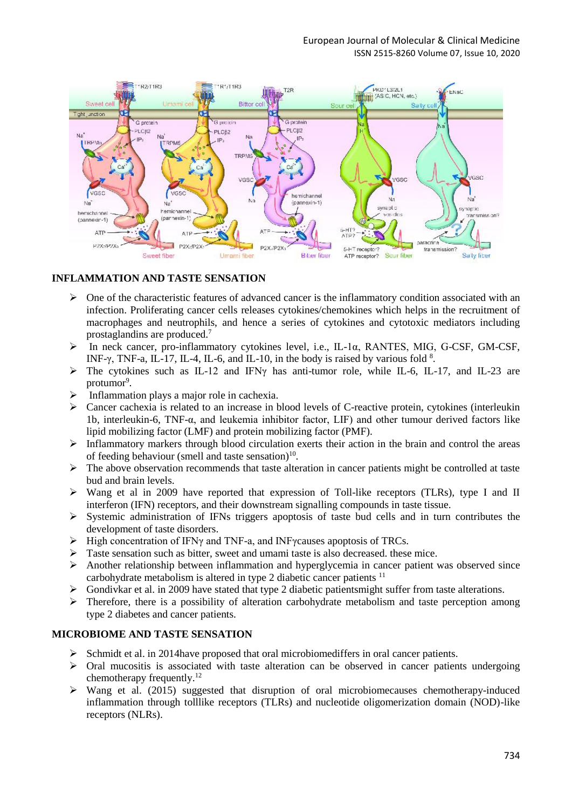#### European Journal of Molecular & Clinical Medicine ISSN 2515-8260 Volume 07, Issue 10, 2020



#### **INFLAMMATION AND TASTE SENSATION**

- $\triangleright$  One of the characteristic features of advanced cancer is the inflammatory condition associated with an infection. Proliferating cancer cells releases cytokines/chemokines which helps in the recruitment of macrophages and neutrophils, and hence a series of cytokines and cytotoxic mediators including prostaglandins are produced.<sup>7</sup>
- In neck cancer, pro-inflammatory cytokines level, i.e., IL-1α, RANTES, MIG, G-CSF, GM-CSF, INF- $\gamma$ , TNF-a, IL-17, IL-4, IL-6, and IL-10, in the body is raised by various fold  $\delta$ .
- $\triangleright$  The cytokines such as IL-12 and IFN<sub>Y</sub> has anti-tumor role, while IL-6, IL-17, and IL-23 are protumor<sup>9</sup>.
- $\triangleright$  Inflammation plays a major role in cachexia.
- $\triangleright$  Cancer cachexia is related to an increase in blood levels of C-reactive protein, cytokines (interleukin 1b, interleukin-6, TNF-α, and leukemia inhibitor factor, LIF) and other tumour derived factors like lipid mobilizing factor (LMF) and protein mobilizing factor (PMF).
- $\triangleright$  Inflammatory markers through blood circulation exerts their action in the brain and control the areas of feeding behaviour (smell and taste sensation) $10$ .
- $\triangleright$  The above observation recommends that taste alteration in cancer patients might be controlled at taste bud and brain levels.
- $\triangleright$  Wang et al in 2009 have reported that expression of Toll-like receptors (TLRs), type I and II interferon (IFN) receptors, and their downstream signalling compounds in taste tissue.
- $\triangleright$  Systemic administration of IFNs triggers apoptosis of taste bud cells and in turn contributes the development of taste disorders.
- $\triangleright$  High concentration of IFNγ and TNF-a, and INFγcauses apoptosis of TRCs.
- $\triangleright$  Taste sensation such as bitter, sweet and umami taste is also decreased. these mice.
- $\triangleright$  Another relationship between inflammation and hyperglycemia in cancer patient was observed since carbohydrate metabolism is altered in type 2 diabetic cancer patients <sup>11</sup>
- $\triangleright$  Gondivkar et al. in 2009 have stated that type 2 diabetic patientsmight suffer from taste alterations.
- $\triangleright$  Therefore, there is a possibility of alteration carbohydrate metabolism and taste perception among type 2 diabetes and cancer patients.

#### **MICROBIOME AND TASTE SENSATION**

- $\triangleright$  Schmidt et al. in 2014 have proposed that oral microbiomediffers in oral cancer patients.
- $\triangleright$  Oral mucositis is associated with taste alteration can be observed in cancer patients undergoing chemotherapy frequently.<sup>12</sup>
- $\triangleright$  Wang et al. (2015) suggested that disruption of oral microbiomecauses chemotherapy-induced inflammation through tolllike receptors (TLRs) and nucleotide oligomerization domain (NOD)-like receptors (NLRs).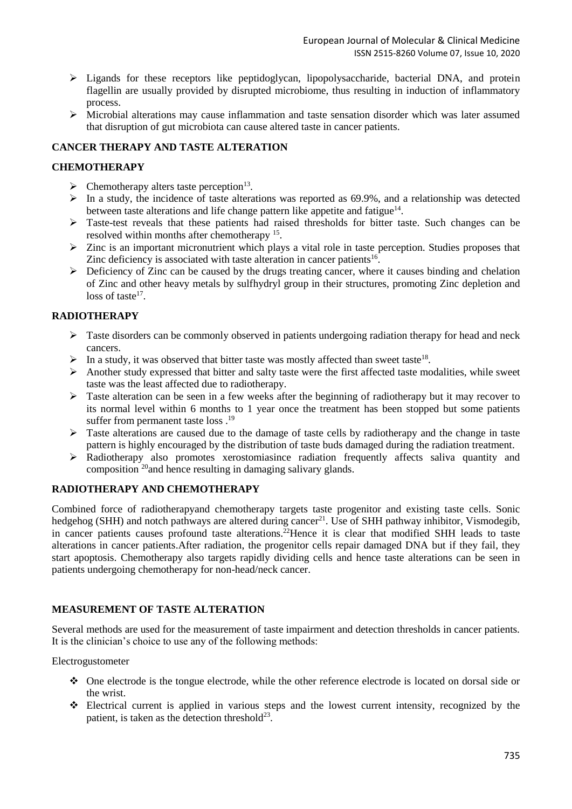- Ligands for these receptors like peptidoglycan, lipopolysaccharide, bacterial DNA, and protein flagellin are usually provided by disrupted microbiome, thus resulting in induction of inflammatory process.
- $\triangleright$  Microbial alterations may cause inflammation and taste sensation disorder which was later assumed that disruption of gut microbiota can cause altered taste in cancer patients.

# **CANCER THERAPY AND TASTE ALTERATION**

## **CHEMOTHERAPY**

- $\triangleright$  Chemotherapy alters taste perception<sup>13</sup>.
- $\triangleright$  In a study, the incidence of taste alterations was reported as 69.9%, and a relationship was detected between taste alterations and life change pattern like appetite and fatigue $14$ .
- $\triangleright$  Taste-test reveals that these patients had raised thresholds for bitter taste. Such changes can be resolved within months after chemotherapy <sup>15</sup>.
- $\triangleright$  Zinc is an important micronutrient which plays a vital role in taste perception. Studies proposes that Zinc deficiency is associated with taste alteration in cancer patients<sup>16</sup>.
- $\triangleright$  Deficiency of Zinc can be caused by the drugs treating cancer, where it causes binding and chelation of Zinc and other heavy metals by sulfhydryl group in their structures, promoting Zinc depletion and loss of taste<sup>17</sup>.

# **RADIOTHERAPY**

- $\triangleright$  Taste disorders can be commonly observed in patients undergoing radiation therapy for head and neck cancers.
- $\triangleright$  In a study, it was observed that bitter taste was mostly affected than sweet taste<sup>18</sup>.
- $\triangleright$  Another study expressed that bitter and salty taste were the first affected taste modalities, while sweet taste was the least affected due to radiotherapy.
- > Taste alteration can be seen in a few weeks after the beginning of radiotherapy but it may recover to its normal level within 6 months to 1 year once the treatment has been stopped but some patients suffer from permanent taste loss .<sup>19</sup>
- $\triangleright$  Taste alterations are caused due to the damage of taste cells by radiotherapy and the change in taste pattern is highly encouraged by the distribution of taste buds damaged during the radiation treatment.
- Radiotherapy also promotes xerostomiasince radiation frequently affects saliva quantity and composition  $^{20}$  and hence resulting in damaging salivary glands.

# **RADIOTHERAPY AND CHEMOTHERAPY**

Combined force of radiotherapyand chemotherapy targets taste progenitor and existing taste cells. Sonic hedgehog (SHH) and notch pathways are altered during cancer<sup>21</sup>. Use of SHH pathway inhibitor, Vismodegib, in cancer patients causes profound taste alterations.<sup>22</sup>Hence it is clear that modified SHH leads to taste alterations in cancer patients.After radiation, the progenitor cells repair damaged DNA but if they fail, they start apoptosis. Chemotherapy also targets rapidly dividing cells and hence taste alterations can be seen in patients undergoing chemotherapy for non-head/neck cancer.

# **MEASUREMENT OF TASTE ALTERATION**

Several methods are used for the measurement of taste impairment and detection thresholds in cancer patients. It is the clinician's choice to use any of the following methods:

Electrogustometer

- One electrode is the tongue electrode, while the other reference electrode is located on dorsal side or the wrist.
- Electrical current is applied in various steps and the lowest current intensity, recognized by the patient, is taken as the detection threshold<sup>23</sup>.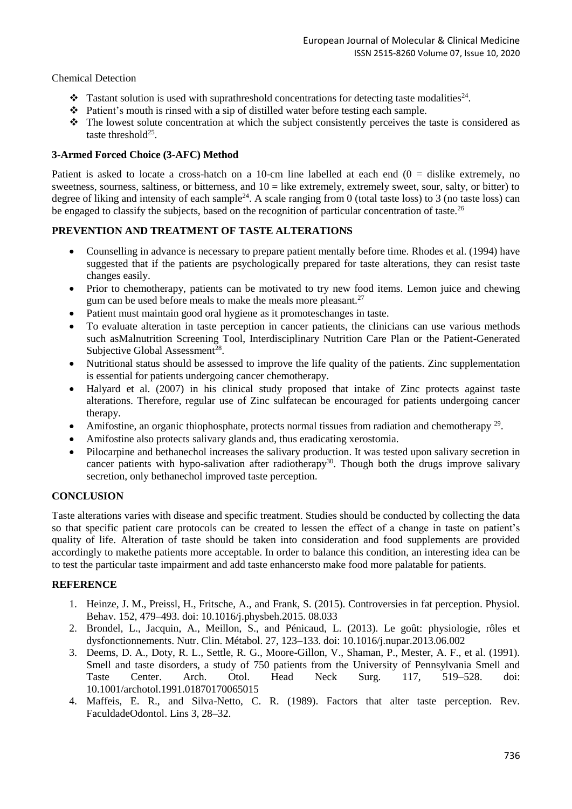### Chemical Detection

- $\bullet$  Tastant solution is used with suprathreshold concentrations for detecting taste modalities<sup>24</sup>.
- $\bullet$  Patient's mouth is rinsed with a sip of distilled water before testing each sample.
- $\cdot \cdot$  The lowest solute concentration at which the subject consistently perceives the taste is considered as taste threshold $25$ .

#### **3-Armed Forced Choice (3-AFC) Method**

Patient is asked to locate a cross-hatch on a 10-cm line labelled at each end  $(0 =$  dislike extremely, no sweetness, sourness, saltiness, or bitterness, and  $10 =$  like extremely, extremely sweet, sour, salty, or bitter) to degree of liking and intensity of each sample<sup>24</sup>. A scale ranging from  $0$  (total taste loss) to  $3$  (no taste loss) can be engaged to classify the subjects, based on the recognition of particular concentration of taste.<sup>26</sup>

# **PREVENTION AND TREATMENT OF TASTE ALTERATIONS**

- Counselling in advance is necessary to prepare patient mentally before time. Rhodes et al. (1994) have suggested that if the patients are psychologically prepared for taste alterations, they can resist taste changes easily.
- Prior to chemotherapy, patients can be motivated to try new food items. Lemon juice and chewing gum can be used before meals to make the meals more pleasant.<sup>27</sup>
- Patient must maintain good oral hygiene as it promoteschanges in taste.
- To evaluate alteration in taste perception in cancer patients, the clinicians can use various methods such asMalnutrition Screening Tool, Interdisciplinary Nutrition Care Plan or the Patient-Generated Subjective Global Assessment<sup>28</sup>.
- Nutritional status should be assessed to improve the life quality of the patients. Zinc supplementation is essential for patients undergoing cancer chemotherapy.
- Halyard et al. (2007) in his clinical study proposed that intake of Zinc protects against taste alterations. Therefore, regular use of Zinc sulfatecan be encouraged for patients undergoing cancer therapy.
- Amifostine, an organic thiophosphate, protects normal tissues from radiation and chemotherapy <sup>29</sup>.
- Amifostine also protects salivary glands and, thus eradicating xerostomia.
- Pilocarpine and bethanechol increases the salivary production. It was tested upon salivary secretion in cancer patients with hypo-salivation after radiotherapy<sup>30</sup>. Though both the drugs improve salivary secretion, only bethanechol improved taste perception.

# **CONCLUSION**

Taste alterations varies with disease and specific treatment. Studies should be conducted by collecting the data so that specific patient care protocols can be created to lessen the effect of a change in taste on patient's quality of life. Alteration of taste should be taken into consideration and food supplements are provided accordingly to makethe patients more acceptable. In order to balance this condition, an interesting idea can be to test the particular taste impairment and add taste enhancersto make food more palatable for patients.

#### **REFERENCE**

- 1. Heinze, J. M., Preissl, H., Fritsche, A., and Frank, S. (2015). Controversies in fat perception. Physiol. Behav. 152, 479–493. doi: 10.1016/j.physbeh.2015. 08.033
- 2. Brondel, L., Jacquin, A., Meillon, S., and Pénicaud, L. (2013). Le goût: physiologie, rôles et dysfonctionnements. Nutr. Clin. Métabol. 27, 123–133. doi: 10.1016/j.nupar.2013.06.002
- 3. Deems, D. A., Doty, R. L., Settle, R. G., Moore-Gillon, V., Shaman, P., Mester, A. F., et al. (1991). Smell and taste disorders, a study of 750 patients from the University of Pennsylvania Smell and Taste Center. Arch. Otol. Head Neck Surg. 117, 519–528. doi: 10.1001/archotol.1991.01870170065015
- 4. Maffeis, E. R., and Silva-Netto, C. R. (1989). Factors that alter taste perception. Rev. FaculdadeOdontol. Lins 3, 28–32.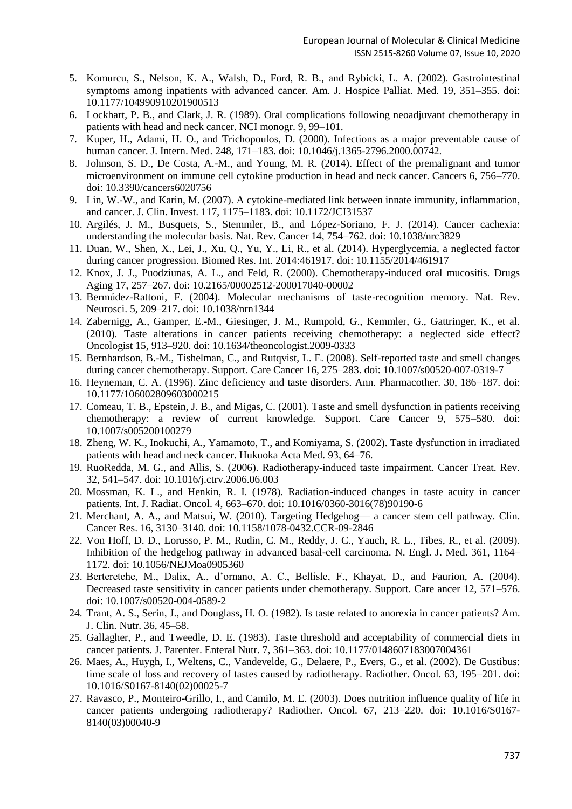- 5. Komurcu, S., Nelson, K. A., Walsh, D., Ford, R. B., and Rybicki, L. A. (2002). Gastrointestinal symptoms among inpatients with advanced cancer. Am. J. Hospice Palliat. Med. 19, 351–355. doi: 10.1177/104990910201900513
- 6. Lockhart, P. B., and Clark, J. R. (1989). Oral complications following neoadjuvant chemotherapy in patients with head and neck cancer. NCI monogr. 9, 99–101.
- 7. Kuper, H., Adami, H. O., and Trichopoulos, D. (2000). Infections as a major preventable cause of human cancer. J. Intern. Med. 248, 171–183. doi: 10.1046/j.1365-2796.2000.00742.
- 8. Johnson, S. D., De Costa, A.-M., and Young, M. R. (2014). Effect of the premalignant and tumor microenvironment on immune cell cytokine production in head and neck cancer. Cancers 6, 756–770. doi: 10.3390/cancers6020756
- 9. Lin, W.-W., and Karin, M. (2007). A cytokine-mediated link between innate immunity, inflammation, and cancer. J. Clin. Invest. 117, 1175–1183. doi: 10.1172/JCI31537
- 10. Argilés, J. M., Busquets, S., Stemmler, B., and López-Soriano, F. J. (2014). Cancer cachexia: understanding the molecular basis. Nat. Rev. Cancer 14, 754–762. doi: 10.1038/nrc3829
- 11. Duan, W., Shen, X., Lei, J., Xu, Q., Yu, Y., Li, R., et al. (2014). Hyperglycemia, a neglected factor during cancer progression. Biomed Res. Int. 2014:461917. doi: 10.1155/2014/461917
- 12. Knox, J. J., Puodziunas, A. L., and Feld, R. (2000). Chemotherapy-induced oral mucositis. Drugs Aging 17, 257–267. doi: 10.2165/00002512-200017040-00002
- 13. Bermúdez-Rattoni, F. (2004). Molecular mechanisms of taste-recognition memory. Nat. Rev. Neurosci. 5, 209–217. doi: 10.1038/nrn1344
- 14. Zabernigg, A., Gamper, E.-M., Giesinger, J. M., Rumpold, G., Kemmler, G., Gattringer, K., et al. (2010). Taste alterations in cancer patients receiving chemotherapy: a neglected side effect? Oncologist 15, 913–920. doi: 10.1634/theoncologist.2009-0333
- 15. Bernhardson, B.-M., Tishelman, C., and Rutqvist, L. E. (2008). Self-reported taste and smell changes during cancer chemotherapy. Support. Care Cancer 16, 275–283. doi: 10.1007/s00520-007-0319-7
- 16. Heyneman, C. A. (1996). Zinc deficiency and taste disorders. Ann. Pharmacother. 30, 186–187. doi: 10.1177/106002809603000215
- 17. Comeau, T. B., Epstein, J. B., and Migas, C. (2001). Taste and smell dysfunction in patients receiving chemotherapy: a review of current knowledge. Support. Care Cancer 9, 575–580. doi: 10.1007/s005200100279
- 18. Zheng, W. K., Inokuchi, A., Yamamoto, T., and Komiyama, S. (2002). Taste dysfunction in irradiated patients with head and neck cancer. Hukuoka Acta Med. 93, 64–76.
- 19. RuoRedda, M. G., and Allis, S. (2006). Radiotherapy-induced taste impairment. Cancer Treat. Rev. 32, 541–547. doi: 10.1016/j.ctrv.2006.06.003
- 20. Mossman, K. L., and Henkin, R. I. (1978). Radiation-induced changes in taste acuity in cancer patients. Int. J. Radiat. Oncol. 4, 663–670. doi: 10.1016/0360-3016(78)90190-6
- 21. Merchant, A. A., and Matsui, W. (2010). Targeting Hedgehog— a cancer stem cell pathway. Clin. Cancer Res. 16, 3130–3140. doi: 10.1158/1078-0432.CCR-09-2846
- 22. Von Hoff, D. D., Lorusso, P. M., Rudin, C. M., Reddy, J. C., Yauch, R. L., Tibes, R., et al. (2009). Inhibition of the hedgehog pathway in advanced basal-cell carcinoma. N. Engl. J. Med. 361, 1164– 1172. doi: 10.1056/NEJMoa0905360
- 23. Berteretche, M., Dalix, A., d'ornano, A. C., Bellisle, F., Khayat, D., and Faurion, A. (2004). Decreased taste sensitivity in cancer patients under chemotherapy. Support. Care ancer 12, 571–576. doi: 10.1007/s00520-004-0589-2
- 24. Trant, A. S., Serin, J., and Douglass, H. O. (1982). Is taste related to anorexia in cancer patients? Am. J. Clin. Nutr. 36, 45–58.
- 25. Gallagher, P., and Tweedle, D. E. (1983). Taste threshold and acceptability of commercial diets in cancer patients. J. Parenter. Enteral Nutr. 7, 361–363. doi: 10.1177/0148607183007004361
- 26. Maes, A., Huygh, I., Weltens, C., Vandevelde, G., Delaere, P., Evers, G., et al. (2002). De Gustibus: time scale of loss and recovery of tastes caused by radiotherapy. Radiother. Oncol. 63, 195–201. doi: 10.1016/S0167-8140(02)00025-7
- 27. Ravasco, P., Monteiro-Grillo, I., and Camilo, M. E. (2003). Does nutrition influence quality of life in cancer patients undergoing radiotherapy? Radiother. Oncol. 67, 213–220. doi: 10.1016/S0167- 8140(03)00040-9